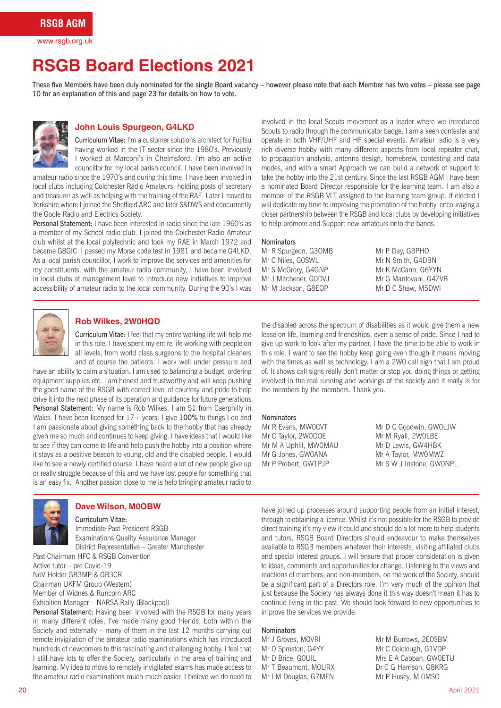www.rsgb.org.uk

## **RSGB Board Elections 2021**

These five Members have been duly nominated for the single Board vacancy – however please note that each Member has two votes – please see page 10 for an explanation of this and page 23 for details on how to vote.



### **John Louis Spurgeon, G4LKD**

Curriculum Vitae: I'm a customer solutions architect for Fujitsu having worked in the IT sector since the 1980's. Previously I worked at Marconi's in Chelmsford. I'm also an active councillor for my local parish council. I have been involved in

amateur radio since the 1970's and during this time, I have been involved in local clubs including Colchester Radio Amateurs; holding posts of secretary and treasurer as well as helping with the training of the RAE. Later I moved to Yorkshire where I joined the Sheffield ARC and later S&DWS and concurrently the Goole Radio and Electrics Society.

Personal Statement: I have been interested in radio since the late 1960's as a member of my School radio club. I joined the Colchester Radio Amateur club whilst at the local polytechnic and took my RAE in March 1972 and became G8GIC. I passed my Morse code test in 1981 and became G4LKD. As a local parish councillor, I work to improve the services and amenities for my constituents. with the amateur radio community, I have been involved in local clubs at management level to Introduce new initiatives to improve accessibility of amateur radio to the local community. During the 90's I was involved in the local Scouts movement as a leader where we introduced Scouts to radio through the communicator badge. I am a keen contester and operate in both VHF/UHF and HF special events. Amateur radio is a very rich diverse hobby with many different aspects from local repeater chat, to propagation analysis, antenna design, homebrew, contesting and data modes, and with a smart Approach we can build a network of support to take the hobby into the 21st century. Since the last RSGB AGM I have been a nominated Board Director responsible for the learning team. I am also a member of the RSGB VLT assigned to the learning team group. If elected I will dedicate my time to improving the promotion of the hobby, encouraging a closer partnership between the RSGB and local clubs by developing initiatives to help promote and Support new amateurs onto the bands.

#### **Nominators**

Mr R Spurgeon, G3OMB Mr C Niles, G0SWL Mr S McGrory, G4GNP Mr J Mitchener, G0DVJ Mr M Jackson, G8EOP

Mr P Day, G3PHO Mr N Smith, G4DBN Mr K McCann, G6YYN Mr G Mantovani, G4ZVB Mr D C Shaw, M5DWI



#### **Rob Wilkes, 2W0HQD**

Curriculum Vitae: I feel that my entire working life will help me in this role. I have spent my entire life working with people on all levels, from world class surgeons to the hospital cleaners and of course the patients. I work well under pressure and

have an ability to calm a situation. I am used to balancing a budget, ordering equipment supplies etc. I am honest and trustworthy and will keep pushing the good name of the RSGB with correct level of courtesy and pride to help drive it into the next phase of its operation and guidance for future generations Personal Statement: My name is Rob Wilkes, I am 51 from Caerphilly in Wales. I have been licensed for  $17+$  years. I give 100% to things I do and I am passionate about giving something back to the hobby that has already given me so much and continues to keep giving. I have ideas that I would like to see if they can come to life and help push the hobby into a position where it stays as a positive beacon to young, old and the disabled people. I would like to see a newly certified course. I have heard a lot of new people give up or really struggle because of this and we have lost people for something that is an easy fix. Another passion close to me is help bringing amateur radio to



## **Dave Wilson, M0OBW**

Curriculum Vitae: Immediate Past President RSGB Examinations Quality Assurance Manager District Representative – Greater Manchester

Past Chairman HFC & RSGB Convention Active tutor – pre Covid-19 NoV Holder GB3MP & GB3CR Chairman UKFM Group (Western) Member of Widnes & Runcorn ARC Exhibition Manager – NARSA Rally (Blackpool)

Personal Statement: Having been involved with the RSGB for many years in many different roles, I've made many good friends, both within the Society and externally – many of them in the last 12 months carrying out remote invigilation of the amateur radio examinations which has introduced hundreds of newcomers to this fascinating and challenging hobby. I feel that I still have lots to offer the Society, particularly in the area of training and learning. My idea to move to remotely invigilated exams has made access to the amateur radio examinations much much easier. I believe we do need to

the disabled across the spectrum of disabilities as it would give them a new lease on life, learning and friendships, even a sense of pride. Since I had to give up work to look after my partner, I have the time to be able to work in this role. I want to see the hobby keep going even though it means moving with the times as well as technology. I am a 2W0 call sign that I am proud of. It shows call signs really don't matter or stop you doing things or getting involved in the real running and workings of the society and it really is for the members by the members. Thank you.

#### Nominators

Mr R Evans, MW0CVT Mr C Taylor, 2W0DOE Mr M A Uphill, MW0MAU Mr G Jones, GW0ANA Mr P Probert, GW1PJP

Mr D C Goodwin, GW0LJW Mr M Ryall, 2W0LBE Mr D Lewis, GW4HBK Mr A Taylor, MW0MWZ Mr S W J Instone, GW0NPL

have joined up processes around supporting people from an initial interest. through to obtaining a licence. Whilst it's not possible for the RSGB to provide direct training it's my view it could and should do a lot more to help students and tutors. RSGB Board Directors should endeavour to make themselves available to RSGB members whatever their interests, visiting affiliated clubs and special interest groups. I will ensure that proper consideration is given to ideas, comments and opportunities for change. Listening to the views and reactions of members, and non-members, on the work of the Society, should be a significant part of a Directors role. I'm very much of the opinion that just because the Society has always done it this way doesn't mean it has to continue living in the past. We should look forward to new opportunities to improve the services we provide.

#### Nominators

Mr J Groves, M0VRI Mr D Sproston, G4YY Mr D Brice, G0UIL Mr T Beaumont, M0URX Mr I M Douglas, G7MFN

Mr M Burrows, 2E0SBM Mr C Colclough, G1VDP Mrs E A Cabban, GW0ETU Dr C G Harrison, G8KRG Mr P Hosey, MI0MSO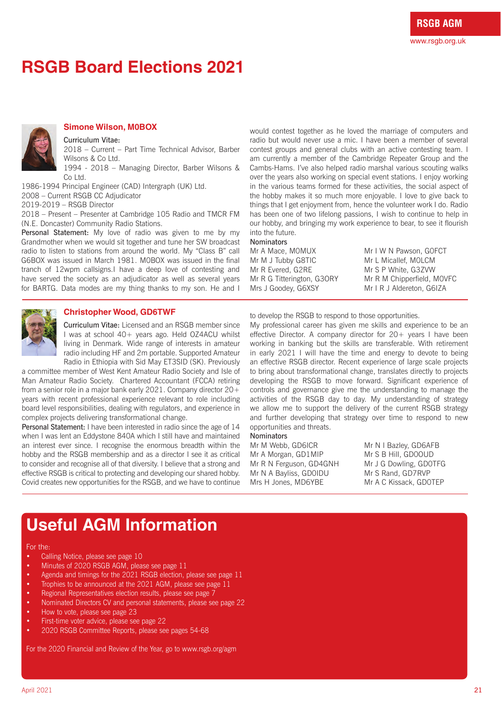# **RSGB Board Elections 2021**



### **Simone Wilson, M0BOX**

Curriculum Vitae:

2018 – Current – Part Time Technical Advisor, Barber Wilsons & Co Ltd.

1994 - 2018 – Managing Director, Barber Wilsons & Co Ltd.

1986-1994 Principal Engineer (CAD) Intergraph (UK) Ltd. 2008 – Current RSGB CC Adjudicator 2019-2019 – RSGB Director

2018 – Present – Presenter at Cambridge 105 Radio and TMCR FM (N.E. Doncaster) Community Radio Stations.

Personal Statement: My love of radio was given to me by my Grandmother when we would sit together and tune her SW broadcast radio to listen to stations from around the world. My "Class B" call G6BOX was issued in March 1981. MOBOX was issued in the final tranch of 12wpm callsigns.I have a deep love of contesting and have served the society as an adjudicator as well as several years for BARTG. Data modes are my thing thanks to my son. He and I

would contest together as he loved the marriage of computers and radio but would never use a mic. I have been a member of several contest groups and general clubs with an active contesting team. I am currently a member of the Cambridge Repeater Group and the Cambs-Hams. I've also helped radio marshal various scouting walks over the years also working on special event stations. I enjoy working in the various teams formed for these activities, the social aspect of the hobby makes it so much more enjoyable. I love to give back to things that I get enjoyment from, hence the volunteer work I do. Radio has been one of two lifelong passions, I wish to continue to help in our hobby, and bringing my work experience to bear, to see it flourish into the future.

**Nominators** Mr A Mace, M0MUX Mr M J Tubby G8TIC Mr R Evered, G2RE Mr R G Titterington, G3ORY Mrs J Goodey, G6XSY

Mr I W N Pawson, G0FCT Mr L Micallef, M0LCM Mr S P White, G3ZVW Mr R M Chipperfield, MOVFC Mr I R J Aldereton, G6IZA



### **Christopher Wood, GD6TWF**

Curriculum Vitae: Licensed and an RSGB member since I was at school 40+ years ago. Held OZ4ACU whilst living in Denmark. Wide range of interests in amateur radio including HF and 2m portable. Supported Amateur Radio in Ethiopia with Sid May ET3SID (SK). Previously

a committee member of West Kent Amateur Radio Society and Isle of Man Amateur Radio Society. Chartered Accountant (FCCA) retiring from a senior role in a major bank early 2021. Company director 20+ years with recent professional experience relevant to role including board level responsibilities, dealing with regulators, and experience in complex projects delivering transformational change.

Personal Statement: I have been interested in radio since the age of 14 when I was lent an Eddystone 840A which I still have and maintained an interest ever since. I recognise the enormous breadth within the hobby and the RSGB membership and as a director I see it as critical to consider and recognise all of that diversity. I believe that a strong and effective RSGB is critical to protecting and developing our shared hobby. Covid creates new opportunities for the RSGB, and we have to continue

to develop the RSGB to respond to those opportunities.

My professional career has given me skills and experience to be an effective Director. A company director for 20+ years I have been working in banking but the skills are transferable. With retirement in early 2021 I will have the time and energy to devote to being an effective RSGB director. Recent experience of large scale projects to bring about transformational change, translates directly to projects developing the RSGB to move forward. Significant experience of controls and governance give me the understanding to manage the activities of the RSGB day to day. My understanding of strategy we allow me to support the delivery of the current RSGB strategy and further developing that strategy over time to respond to new opportunities and threats.

#### **Nominators**

Mr M Webb, GD6ICR Mr A Morgan, GD1MIP Mr R N Ferguson, GD4GNH Mr N A Bayliss, GD0IDU Mrs H Jones, MD6YBE

Mr N I Bazley, GD6AFB Mr S B Hill, GD0OUD Mr J G Dowling, GD0TFG Mr S Rand, GD7RVP Mr A C Kissack, GD0TEP

## **Useful AGM Information**

#### For the:

- Calling Notice, please see page 10<br>• Minutes of 2020 RSGB AGM, plea
- Minutes of 2020 RSGB AGM, please see page 11<br>• Agenda and timings for the 2021 RSGB election.
- Agenda and timings for the 2021 RSGB election, please see page 11<br>• Trophies to be announced at the 2021 AGM, please see page 11
- Trophies to be announced at the 2021 AGM, please see page 11<br>• Regional Representatives election results, please see page 7
- Regional Representatives election results, please see page 7<br>• Nominated Directors CV and personal statements, please se
- Nominated Directors CV and personal statements, please see page 22
- How to vote, please see page 23
- First-time voter advice, please see page 22
- 2020 RSGB Committee Reports, please see pages 54-68

For the 2020 Financial and Review of the Year, go to www.rsgb.org/agm